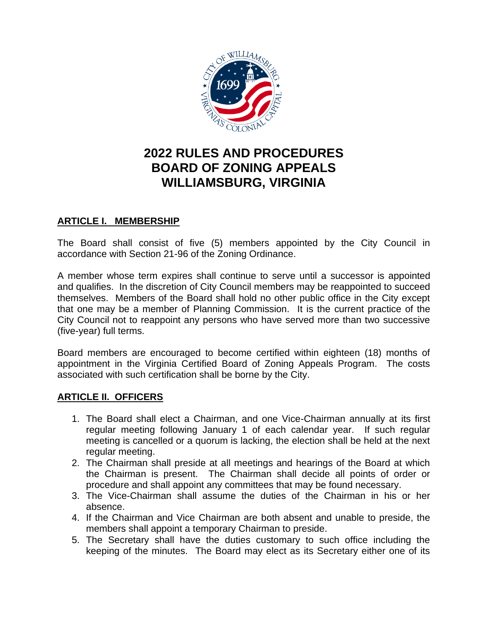

# **2022 RULES AND PROCEDURES BOARD OF ZONING APPEALS WILLIAMSBURG, VIRGINIA**

#### **ARTICLE I. MEMBERSHIP**

The Board shall consist of five (5) members appointed by the City Council in accordance with Section 21-96 of the Zoning Ordinance.

A member whose term expires shall continue to serve until a successor is appointed and qualifies. In the discretion of City Council members may be reappointed to succeed themselves. Members of the Board shall hold no other public office in the City except that one may be a member of Planning Commission. It is the current practice of the City Council not to reappoint any persons who have served more than two successive (five-year) full terms.

Board members are encouraged to become certified within eighteen (18) months of appointment in the Virginia Certified Board of Zoning Appeals Program. The costs associated with such certification shall be borne by the City.

#### **ARTICLE II. OFFICERS**

- 1. The Board shall elect a Chairman, and one Vice-Chairman annually at its first regular meeting following January 1 of each calendar year. If such regular meeting is cancelled or a quorum is lacking, the election shall be held at the next regular meeting.
- 2. The Chairman shall preside at all meetings and hearings of the Board at which the Chairman is present. The Chairman shall decide all points of order or procedure and shall appoint any committees that may be found necessary.
- 3. The Vice-Chairman shall assume the duties of the Chairman in his or her absence.
- 4. If the Chairman and Vice Chairman are both absent and unable to preside, the members shall appoint a temporary Chairman to preside.
- 5. The Secretary shall have the duties customary to such office including the keeping of the minutes. The Board may elect as its Secretary either one of its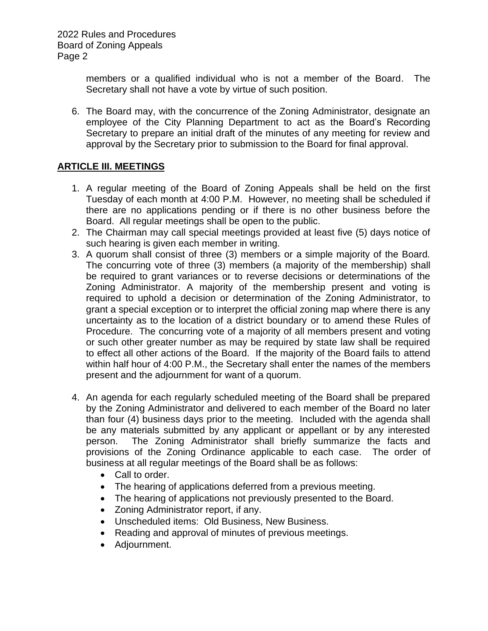members or a qualified individual who is not a member of the Board. The Secretary shall not have a vote by virtue of such position.

6. The Board may, with the concurrence of the Zoning Administrator, designate an employee of the City Planning Department to act as the Board's Recording Secretary to prepare an initial draft of the minutes of any meeting for review and approval by the Secretary prior to submission to the Board for final approval.

#### **ARTICLE III. MEETINGS**

- 1. A regular meeting of the Board of Zoning Appeals shall be held on the first Tuesday of each month at 4:00 P.M. However, no meeting shall be scheduled if there are no applications pending or if there is no other business before the Board. All regular meetings shall be open to the public.
- 2. The Chairman may call special meetings provided at least five (5) days notice of such hearing is given each member in writing.
- 3. A quorum shall consist of three (3) members or a simple majority of the Board. The concurring vote of three (3) members (a majority of the membership) shall be required to grant variances or to reverse decisions or determinations of the Zoning Administrator. A majority of the membership present and voting is required to uphold a decision or determination of the Zoning Administrator, to grant a special exception or to interpret the official zoning map where there is any uncertainty as to the location of a district boundary or to amend these Rules of Procedure. The concurring vote of a majority of all members present and voting or such other greater number as may be required by state law shall be required to effect all other actions of the Board. If the majority of the Board fails to attend within half hour of 4:00 P.M., the Secretary shall enter the names of the members present and the adjournment for want of a quorum.
- 4. An agenda for each regularly scheduled meeting of the Board shall be prepared by the Zoning Administrator and delivered to each member of the Board no later than four (4) business days prior to the meeting. Included with the agenda shall be any materials submitted by any applicant or appellant or by any interested person. The Zoning Administrator shall briefly summarize the facts and provisions of the Zoning Ordinance applicable to each case. The order of business at all regular meetings of the Board shall be as follows:
	- Call to order.
	- The hearing of applications deferred from a previous meeting.
	- The hearing of applications not previously presented to the Board.
	- Zoning Administrator report, if any.
	- Unscheduled items: Old Business, New Business.
	- Reading and approval of minutes of previous meetings.
	- Adjournment.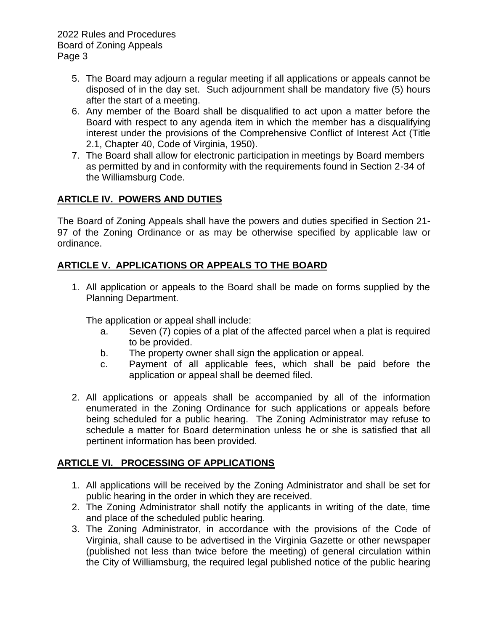- 5. The Board may adjourn a regular meeting if all applications or appeals cannot be disposed of in the day set. Such adjournment shall be mandatory five (5) hours after the start of a meeting.
- 6. Any member of the Board shall be disqualified to act upon a matter before the Board with respect to any agenda item in which the member has a disqualifying interest under the provisions of the Comprehensive Conflict of Interest Act (Title 2.1, Chapter 40, Code of Virginia, 1950).
- 7. The Board shall allow for electronic participation in meetings by Board members as permitted by and in conformity with the requirements found in Section 2-34 of the Williamsburg Code.

## **ARTICLE IV. POWERS AND DUTIES**

The Board of Zoning Appeals shall have the powers and duties specified in Section 21- 97 of the Zoning Ordinance or as may be otherwise specified by applicable law or ordinance.

### **ARTICLE V. APPLICATIONS OR APPEALS TO THE BOARD**

1. All application or appeals to the Board shall be made on forms supplied by the Planning Department.

The application or appeal shall include:

- a. Seven (7) copies of a plat of the affected parcel when a plat is required to be provided.
- b. The property owner shall sign the application or appeal.
- c. Payment of all applicable fees, which shall be paid before the application or appeal shall be deemed filed.
- 2. All applications or appeals shall be accompanied by all of the information enumerated in the Zoning Ordinance for such applications or appeals before being scheduled for a public hearing. The Zoning Administrator may refuse to schedule a matter for Board determination unless he or she is satisfied that all pertinent information has been provided.

#### **ARTICLE VI. PROCESSING OF APPLICATIONS**

- 1. All applications will be received by the Zoning Administrator and shall be set for public hearing in the order in which they are received.
- 2. The Zoning Administrator shall notify the applicants in writing of the date, time and place of the scheduled public hearing.
- 3. The Zoning Administrator, in accordance with the provisions of the Code of Virginia, shall cause to be advertised in the Virginia Gazette or other newspaper (published not less than twice before the meeting) of general circulation within the City of Williamsburg, the required legal published notice of the public hearing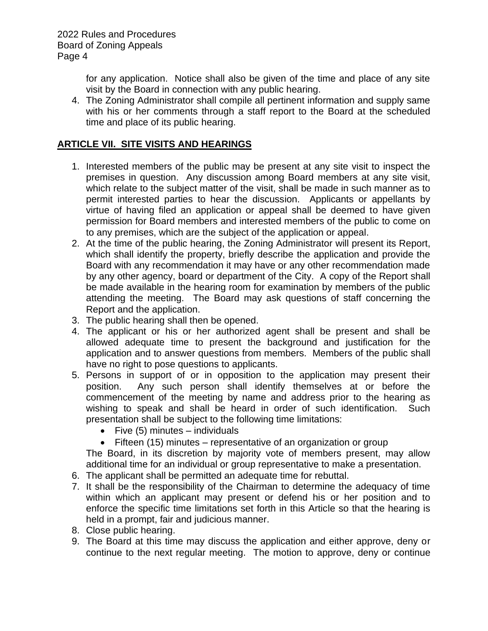for any application. Notice shall also be given of the time and place of any site visit by the Board in connection with any public hearing.

4. The Zoning Administrator shall compile all pertinent information and supply same with his or her comments through a staff report to the Board at the scheduled time and place of its public hearing.

#### **ARTICLE VII. SITE VISITS AND HEARINGS**

- 1. Interested members of the public may be present at any site visit to inspect the premises in question. Any discussion among Board members at any site visit, which relate to the subject matter of the visit, shall be made in such manner as to permit interested parties to hear the discussion. Applicants or appellants by virtue of having filed an application or appeal shall be deemed to have given permission for Board members and interested members of the public to come on to any premises, which are the subject of the application or appeal.
- 2. At the time of the public hearing, the Zoning Administrator will present its Report, which shall identify the property, briefly describe the application and provide the Board with any recommendation it may have or any other recommendation made by any other agency, board or department of the City. A copy of the Report shall be made available in the hearing room for examination by members of the public attending the meeting. The Board may ask questions of staff concerning the Report and the application.
- 3. The public hearing shall then be opened.
- 4. The applicant or his or her authorized agent shall be present and shall be allowed adequate time to present the background and justification for the application and to answer questions from members. Members of the public shall have no right to pose questions to applicants.
- 5. Persons in support of or in opposition to the application may present their position. Any such person shall identify themselves at or before the commencement of the meeting by name and address prior to the hearing as wishing to speak and shall be heard in order of such identification. Such presentation shall be subject to the following time limitations:
	- Five (5) minutes individuals
	- Fifteen (15) minutes representative of an organization or group

The Board, in its discretion by majority vote of members present, may allow additional time for an individual or group representative to make a presentation.

- 6. The applicant shall be permitted an adequate time for rebuttal.
- 7. It shall be the responsibility of the Chairman to determine the adequacy of time within which an applicant may present or defend his or her position and to enforce the specific time limitations set forth in this Article so that the hearing is held in a prompt, fair and judicious manner.
- 8. Close public hearing.
- 9. The Board at this time may discuss the application and either approve, deny or continue to the next regular meeting. The motion to approve, deny or continue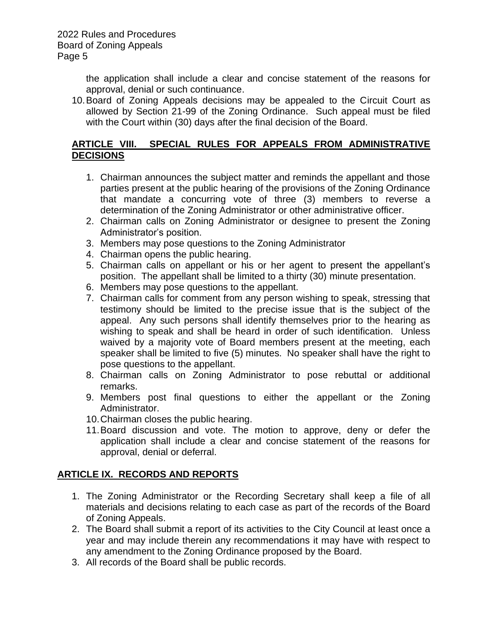the application shall include a clear and concise statement of the reasons for approval, denial or such continuance.

10.Board of Zoning Appeals decisions may be appealed to the Circuit Court as allowed by Section 21-99 of the Zoning Ordinance. Such appeal must be filed with the Court within (30) days after the final decision of the Board.

#### **ARTICLE VIII. SPECIAL RULES FOR APPEALS FROM ADMINISTRATIVE DECISIONS**

- 1. Chairman announces the subject matter and reminds the appellant and those parties present at the public hearing of the provisions of the Zoning Ordinance that mandate a concurring vote of three (3) members to reverse a determination of the Zoning Administrator or other administrative officer.
- 2. Chairman calls on Zoning Administrator or designee to present the Zoning Administrator's position.
- 3. Members may pose questions to the Zoning Administrator
- 4. Chairman opens the public hearing.
- 5. Chairman calls on appellant or his or her agent to present the appellant's position. The appellant shall be limited to a thirty (30) minute presentation.
- 6. Members may pose questions to the appellant.
- 7. Chairman calls for comment from any person wishing to speak, stressing that testimony should be limited to the precise issue that is the subject of the appeal. Any such persons shall identify themselves prior to the hearing as wishing to speak and shall be heard in order of such identification. Unless waived by a majority vote of Board members present at the meeting, each speaker shall be limited to five (5) minutes. No speaker shall have the right to pose questions to the appellant.
- 8. Chairman calls on Zoning Administrator to pose rebuttal or additional remarks.
- 9. Members post final questions to either the appellant or the Zoning Administrator.
- 10.Chairman closes the public hearing.
- 11.Board discussion and vote. The motion to approve, deny or defer the application shall include a clear and concise statement of the reasons for approval, denial or deferral.

#### **ARTICLE IX. RECORDS AND REPORTS**

- 1. The Zoning Administrator or the Recording Secretary shall keep a file of all materials and decisions relating to each case as part of the records of the Board of Zoning Appeals.
- 2. The Board shall submit a report of its activities to the City Council at least once a year and may include therein any recommendations it may have with respect to any amendment to the Zoning Ordinance proposed by the Board.
- 3. All records of the Board shall be public records.